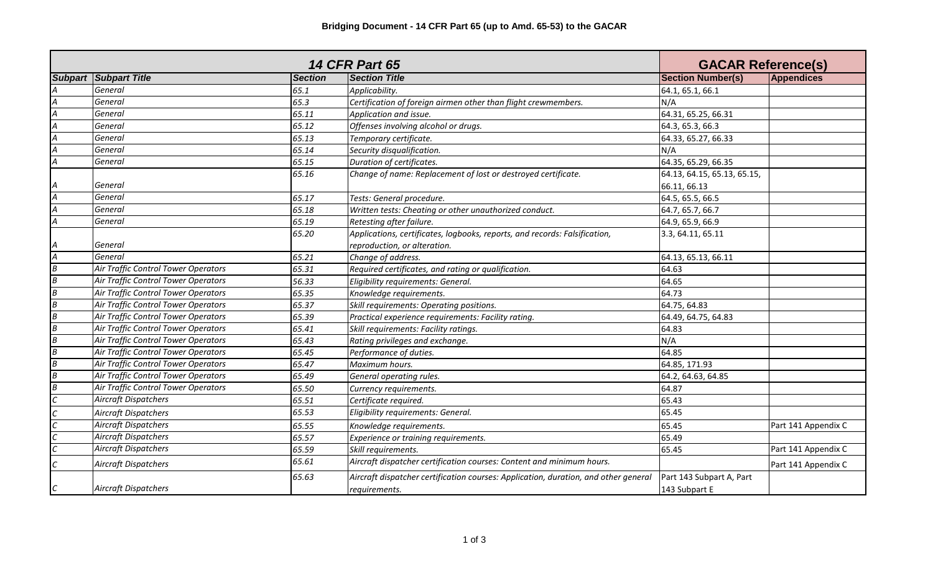| <b>14 CFR Part 65</b> |                                     |                |                                                                                                      |                                           | <b>GACAR Reference(s)</b> |  |
|-----------------------|-------------------------------------|----------------|------------------------------------------------------------------------------------------------------|-------------------------------------------|---------------------------|--|
|                       | <b>Subpart Subpart Title</b>        | <b>Section</b> | <b>Section Title</b>                                                                                 | <b>Section Number(s)</b>                  | <b>Appendices</b>         |  |
|                       | General                             | 65.1           | Applicability.                                                                                       | 64.1, 65.1, 66.1                          |                           |  |
| A                     | General                             | 65.3           | Certification of foreign airmen other than flight crewmembers.                                       | N/A                                       |                           |  |
| А                     | General                             | 65.11          | Application and issue.                                                                               | 64.31, 65.25, 66.31                       |                           |  |
|                       | General                             | 65.12          | Offenses involving alcohol or drugs.                                                                 | 64.3, 65.3, 66.3                          |                           |  |
|                       | General                             | 65.13          | Temporary certificate.                                                                               | 64.33, 65.27, 66.33                       |                           |  |
|                       | General                             | 65.14          | Security disqualification.                                                                           | N/A                                       |                           |  |
|                       | General                             | 65.15          | Duration of certificates.                                                                            | 64.35, 65.29, 66.35                       |                           |  |
|                       |                                     | 65.16          | Change of name: Replacement of lost or destroyed certificate.                                        | 64.13, 64.15, 65.13, 65.15,               |                           |  |
|                       | General                             |                |                                                                                                      | 66.11, 66.13                              |                           |  |
|                       | General                             | 65.17          | Tests: General procedure.                                                                            | 64.5, 65.5, 66.5                          |                           |  |
|                       | General                             | 65.18          | Written tests: Cheating or other unauthorized conduct.                                               | 64.7, 65.7, 66.7                          |                           |  |
|                       | General                             | 65.19          | Retesting after failure.                                                                             | 64.9, 65.9, 66.9                          |                           |  |
|                       |                                     | 65.20          | Applications, certificates, logbooks, reports, and records: Falsification,                           | 3.3, 64.11, 65.11                         |                           |  |
|                       | General                             |                | reproduction, or alteration.                                                                         |                                           |                           |  |
| Α                     | General                             | 65.21          | Change of address.                                                                                   | 64.13, 65.13, 66.11                       |                           |  |
| B                     | Air Traffic Control Tower Operators | 65.31          | Required certificates, and rating or qualification.                                                  | 64.63                                     |                           |  |
| B                     | Air Traffic Control Tower Operators | 56.33          | Eligibility requirements: General.                                                                   | 64.65                                     |                           |  |
| $\overline{B}$        | Air Traffic Control Tower Operators | 65.35          | Knowledge requirements.                                                                              | 64.73                                     |                           |  |
| B                     | Air Traffic Control Tower Operators | 65.37          | Skill requirements: Operating positions.                                                             | 64.75, 64.83                              |                           |  |
| $\overline{B}$        | Air Traffic Control Tower Operators | 65.39          | Practical experience requirements: Facility rating.                                                  | 64.49, 64.75, 64.83                       |                           |  |
| $\overline{B}$        | Air Traffic Control Tower Operators | 65.41          | Skill requirements: Facility ratings.                                                                | 64.83                                     |                           |  |
| $\overline{B}$        | Air Traffic Control Tower Operators | 65.43          | Rating privileges and exchange.                                                                      | N/A                                       |                           |  |
| B                     | Air Traffic Control Tower Operators | 65.45          | Performance of duties.                                                                               | 64.85                                     |                           |  |
| B                     | Air Traffic Control Tower Operators | 65.47          | Maximum hours.                                                                                       | 64.85, 171.93                             |                           |  |
| B                     | Air Traffic Control Tower Operators | 65.49          | General operating rules.                                                                             | 64.2, 64.63, 64.85                        |                           |  |
| B                     | Air Traffic Control Tower Operators | 65.50          | Currency requirements.                                                                               | 64.87                                     |                           |  |
| C                     | <b>Aircraft Dispatchers</b>         | 65.51          | Certificate required.                                                                                | 65.43                                     |                           |  |
|                       | <b>Aircraft Dispatchers</b>         | 65.53          | Eligibility requirements: General.                                                                   | 65.45                                     |                           |  |
|                       | <b>Aircraft Dispatchers</b>         | 65.55          | Knowledge requirements.                                                                              | 65.45                                     | Part 141 Appendix C       |  |
|                       | <b>Aircraft Dispatchers</b>         | 65.57          | Experience or training requirements.                                                                 | 65.49                                     |                           |  |
|                       | <b>Aircraft Dispatchers</b>         | 65.59          | Skill requirements.                                                                                  | 65.45                                     | Part 141 Appendix C       |  |
|                       | <b>Aircraft Dispatchers</b>         | 65.61          | Aircraft dispatcher certification courses: Content and minimum hours.                                |                                           | Part 141 Appendix C       |  |
|                       | <b>Aircraft Dispatchers</b>         | 65.63          | Aircraft dispatcher certification courses: Application, duration, and other general<br>requirements. | Part 143 Subpart A, Part<br>143 Subpart E |                           |  |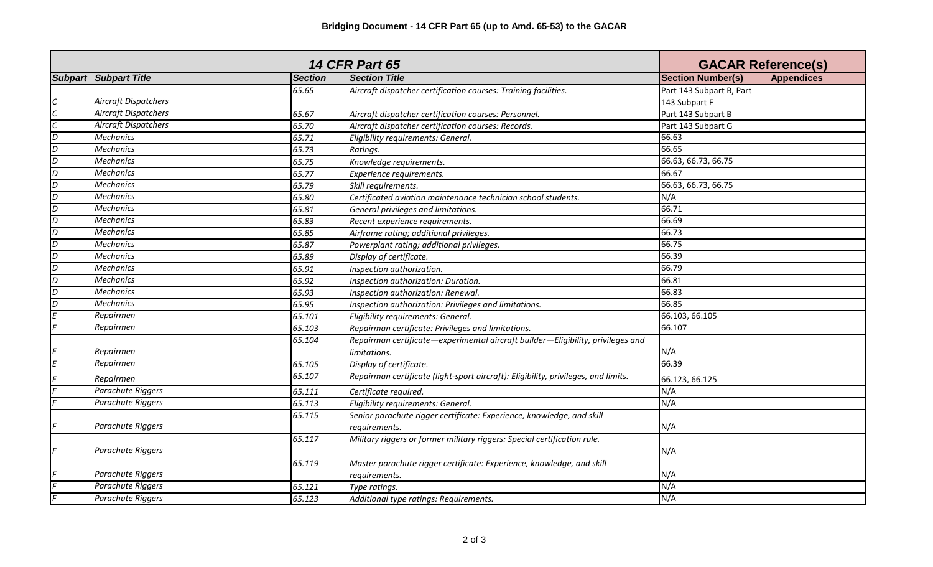| <b>14 CFR Part 65</b> |                              |                |                                                                                    | <b>GACAR Reference(s)</b> |            |
|-----------------------|------------------------------|----------------|------------------------------------------------------------------------------------|---------------------------|------------|
|                       | <b>Subpart Subpart Title</b> | <b>Section</b> | <b>Section Title</b>                                                               | <b>Section Number(s)</b>  | Appendices |
|                       |                              | 65.65          | Aircraft dispatcher certification courses: Training facilities.                    | Part 143 Subpart B, Part  |            |
|                       | <b>Aircraft Dispatchers</b>  |                |                                                                                    | 143 Subpart F             |            |
| C                     | <b>Aircraft Dispatchers</b>  | 65.67          | Aircraft dispatcher certification courses: Personnel.                              | Part 143 Subpart B        |            |
| С                     | Aircraft Dispatchers         | 65.70          | Aircraft dispatcher certification courses: Records.                                | Part 143 Subpart G        |            |
| D                     | <b>Mechanics</b>             | 65.71          | Eligibility requirements: General.                                                 | 66.63                     |            |
| D                     | <b>Mechanics</b>             | 65.73          | Ratings.                                                                           | 66.65                     |            |
| D                     | <b>Mechanics</b>             | 65.75          | Knowledge requirements.                                                            | 66.63, 66.73, 66.75       |            |
| D                     | <b>Mechanics</b>             | 65.77          | Experience requirements.                                                           | 66.67                     |            |
| D                     | <b>Mechanics</b>             | 65.79          | Skill requirements.                                                                | 66.63, 66.73, 66.75       |            |
| D                     | <b>Mechanics</b>             | 65.80          | Certificated aviation maintenance technician school students.                      | N/A                       |            |
| D                     | <b>Mechanics</b>             | 65.81          | General privileges and limitations.                                                | 66.71                     |            |
| D                     | <b>Mechanics</b>             | 65.83          | Recent experience requirements.                                                    | 66.69                     |            |
| D                     | <b>Mechanics</b>             | 65.85          | Airframe rating; additional privileges.                                            | 66.73                     |            |
| $\overline{D}$        | <b>Mechanics</b>             | 65.87          | Powerplant rating; additional privileges.                                          | 66.75                     |            |
| D                     | <b>Mechanics</b>             | 65.89          | Display of certificate.                                                            | 66.39                     |            |
| D                     | <b>Mechanics</b>             | 65.91          | Inspection authorization.                                                          | 66.79                     |            |
| $\overline{D}$        | <b>Mechanics</b>             | 65.92          | Inspection authorization: Duration.                                                | 66.81                     |            |
| $\overline{D}$        | <b>Mechanics</b>             | 65.93          | Inspection authorization: Renewal.                                                 | 66.83                     |            |
| $\overline{D}$        | <b>Mechanics</b>             | 65.95          | Inspection authorization: Privileges and limitations.                              | 66.85                     |            |
|                       | Repairmen                    | 65.101         | Eligibility requirements: General.                                                 | 66.103, 66.105            |            |
|                       | Repairmen                    | 65.103         | Repairman certificate: Privileges and limitations.                                 | 66.107                    |            |
|                       |                              | 65.104         | Repairman certificate-experimental aircraft builder-Eligibility, privileges and    |                           |            |
|                       | Repairmen                    |                | limitations.                                                                       | N/A                       |            |
| F                     | Repairmen                    | 65.105         | Display of certificate.                                                            | 66.39                     |            |
|                       | Repairmen                    | 65.107         | Repairman certificate (light-sport aircraft): Eligibility, privileges, and limits. | 66.123, 66.125            |            |
|                       | Parachute Riggers            | 65.111         | Certificate required.                                                              | N/A                       |            |
|                       | Parachute Riggers            | 65.113         | Eligibility requirements: General.                                                 | N/A                       |            |
|                       |                              | 65.115         | Senior parachute rigger certificate: Experience, knowledge, and skill              |                           |            |
|                       | Parachute Riggers            |                | requirements.                                                                      | N/A                       |            |
|                       |                              | 65.117         | Military riggers or former military riggers: Special certification rule.           |                           |            |
|                       | Parachute Riggers            |                |                                                                                    | N/A                       |            |
|                       |                              | 65.119         | Master parachute rigger certificate: Experience, knowledge, and skill              |                           |            |
|                       | Parachute Riggers            |                | requirements.                                                                      | N/A                       |            |
|                       | Parachute Riggers            | 65.121         | Type ratings.                                                                      | N/A                       |            |
|                       | Parachute Riggers            | 65.123         | Additional type ratings: Requirements.                                             | N/A                       |            |